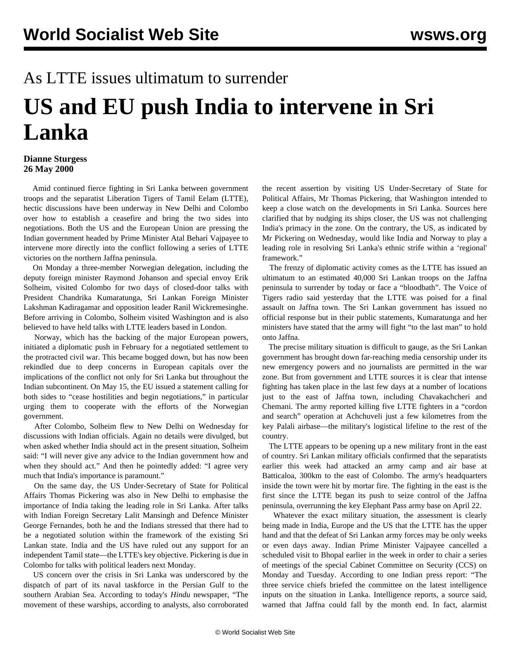## As LTTE issues ultimatum to surrender

## **US and EU push India to intervene in Sri Lanka**

## **Dianne Sturgess 26 May 2000**

 Amid continued fierce fighting in Sri Lanka between government troops and the separatist Liberation Tigers of Tamil Eelam (LTTE), hectic discussions have been underway in New Delhi and Colombo over how to establish a ceasefire and bring the two sides into negotiations. Both the US and the European Union are pressing the Indian government headed by Prime Minister Atal Behari Vajpayee to intervene more directly into the conflict following a series of LTTE victories on the northern Jaffna peninsula.

 On Monday a three-member Norwegian delegation, including the deputy foreign minister Raymond Johanson and special envoy Erik Solheim, visited Colombo for two days of closed-door talks with President Chandrika Kumaratunga, Sri Lankan Foreign Minister Lakshman Kadiragamar and opposition leader Ranil Wickremesinghe. Before arriving in Colombo, Solheim visited Washington and is also believed to have held talks with LTTE leaders based in London.

 Norway, which has the backing of the major European powers, initiated a diplomatic push in February for a negotiated settlement to the protracted civil war. This became bogged down, but has now been rekindled due to deep concerns in European capitals over the implications of the conflict not only for Sri Lanka but throughout the Indian subcontinent. On May 15, the EU issued a statement calling for both sides to "cease hostilities and begin negotiations," in particular urging them to cooperate with the efforts of the Norwegian government.

 After Colombo, Solheim flew to New Delhi on Wednesday for discussions with Indian officials. Again no details were divulged, but when asked whether India should act in the present situation, Solheim said: "I will never give any advice to the Indian government how and when they should act." And then he pointedly added: "I agree very much that India's importance is paramount."

 On the same day, the US Under-Secretary of State for Political Affairs Thomas Pickering was also in New Delhi to emphasise the importance of India taking the leading role in Sri Lanka. After talks with Indian Foreign Secretary Lalit Mansingh and Defence Minister George Fernandes, both he and the Indians stressed that there had to be a negotiated solution within the framework of the existing Sri Lankan state. India and the US have ruled out any support for an independent Tamil state—the LTTE's key objective. Pickering is due in Colombo for talks with political leaders next Monday.

 US concern over the crisis in Sri Lanka was underscored by the dispatch of part of its naval taskforce in the Persian Gulf to the southern Arabian Sea. According to today's *Hindu* newspaper, "The movement of these warships, according to analysts, also corroborated the recent assertion by visiting US Under-Secretary of State for Political Affairs, Mr Thomas Pickering, that Washington intended to keep a close watch on the developments in Sri Lanka. Sources here clarified that by nudging its ships closer, the US was not challenging India's primacy in the zone. On the contrary, the US, as indicated by Mr Pickering on Wednesday, would like India and Norway to play a leading role in resolving Sri Lanka's ethnic strife within a 'regional' framework."

 The frenzy of diplomatic activity comes as the LTTE has issued an ultimatum to an estimated 40,000 Sri Lankan troops on the Jaffna peninsula to surrender by today or face a "bloodbath". The Voice of Tigers radio said yesterday that the LTTE was poised for a final assault on Jaffna town. The Sri Lankan government has issued no official response but in their public statements, Kumaratunga and her ministers have stated that the army will fight "to the last man" to hold onto Jaffna.

 The precise military situation is difficult to gauge, as the Sri Lankan government has brought down far-reaching media censorship under its new emergency powers and no journalists are permitted in the war zone. But from government and LTTE sources it is clear that intense fighting has taken place in the last few days at a number of locations just to the east of Jaffna town, including Chavakachcheri and Chemani. The army reported killing five LTTE fighters in a "cordon and search" operation at Achchuveli just a few kilometres from the key Palali airbase—the military's logistical lifeline to the rest of the country.

 The LTTE appears to be opening up a new military front in the east of country. Sri Lankan military officials confirmed that the separatists earlier this week had attacked an army camp and air base at Batticaloa, 300km to the east of Colombo. The army's headquarters inside the town were hit by mortar fire. The fighting in the east is the first since the LTTE began its push to seize control of the Jaffna peninsula, overrunning the key Elephant Pass army base on April 22.

 Whatever the exact military situation, the assessment is clearly being made in India, Europe and the US that the LTTE has the upper hand and that the defeat of Sri Lankan army forces may be only weeks or even days away. Indian Prime Minister Vajpayee cancelled a scheduled visit to Bhopal earlier in the week in order to chair a series of meetings of the special Cabinet Committee on Security (CCS) on Monday and Tuesday. According to one Indian press report: "The three service chiefs briefed the committee on the latest intelligence inputs on the situation in Lanka. Intelligence reports, a source said, warned that Jaffna could fall by the month end. In fact, alarmist